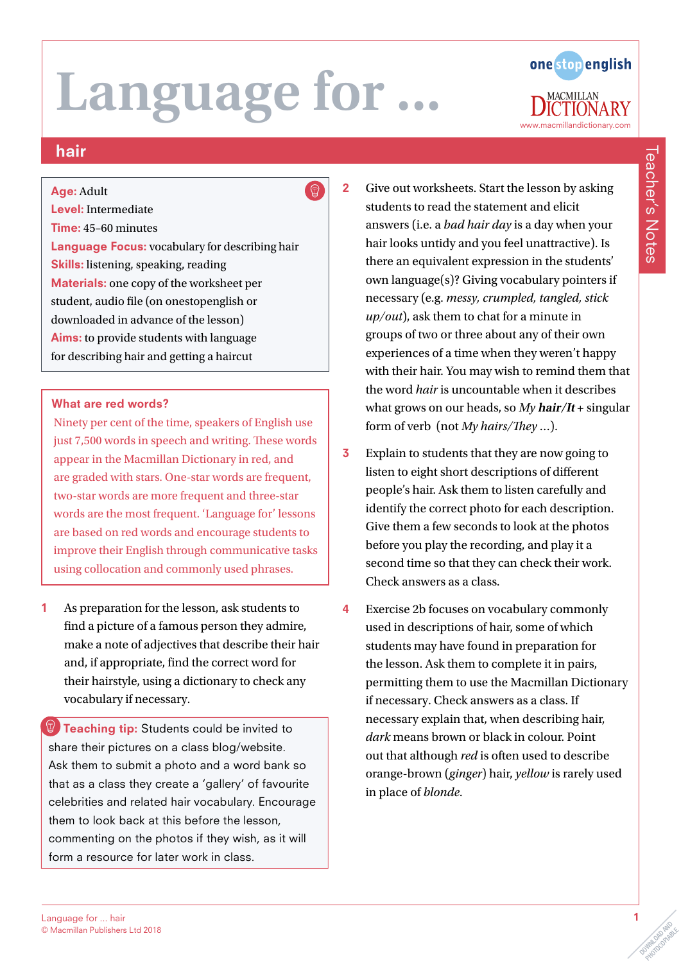## Language for ... hair © Macmillan Publishers Ltd 2018

# **Language for ...**

## hair

Age: Adult

#### Level: Intermediate

#### Time: 45–60 minutes

Language Focus: vocabulary for describing hair Skills: listening, speaking, reading Materials: one copy of the worksheet per student, audio file (on onestopenglish or downloaded in advance of the lesson) Aims: to provide students with language for describing hair and getting a haircut

#### What are red words?

Ninety per cent of the time, speakers of English use just 7,500 words in speech and writing. These words appear in the Macmillan Dictionary in red, and are graded with stars. One-star words are frequent, two-star words are more frequent and three-star words are the most frequent. 'Language for' lessons are based on red words and encourage students to improve their English through communicative tasks using collocation and commonly used phrases.

1 As preparation for the lesson, ask students to find a picture of a famous person they admire, make a note of adjectives that describe their hair and, if appropriate, find the correct word for their hairstyle, using a dictionary to check any vocabulary if necessary.

**Teaching tip:** Students could be invited to share their pictures on a class blog/website. Ask them to submit a photo and a word bank so that as a class they create a 'gallery' of favourite celebrities and related hair vocabulary. Encourage them to look back at this before the lesson, commenting on the photos if they wish, as it will form a resource for later work in class.

2 Give out worksheets. Start the lesson by asking students to read the statement and elicit answers (i.e. a *bad hair day* is a day when your hair looks untidy and you feel unattractive). Is there an equivalent expression in the students' own language(s)? Giving vocabulary pointers if necessary (e.g. *messy, crumpled, tangled, stick up/out*), ask them to chat for a minute in groups of two or three about any of their own experiences of a time when they weren't happy with their hair. You may wish to remind them that the word *hair* is uncountable when it describes what grows on our heads, so *My* **hair/It** + singular form of verb (not *My hairs/They* …).

- 3 Explain to students that they are now going to listen to eight short descriptions of different people's hair. Ask them to listen carefully and identify the correct photo for each description. Give them a few seconds to look at the photos before you play the recording, and play it a second time so that they can check their work. Check answers as a class.
- 4 Exercise 2b focuses on vocabulary commonly used in descriptions of hair, some of which students may have found in preparation for the lesson. Ask them to complete it in pairs, permitting them to use the Macmillan Dictionary if necessary. Check answers as a class. If necessary explain that, when describing hair, *dark* means brown or black in colour. Point out that although *red* is often used to describe orange-brown (*ginger*) hair, *yellow* is rarely used in place of *blonde*.

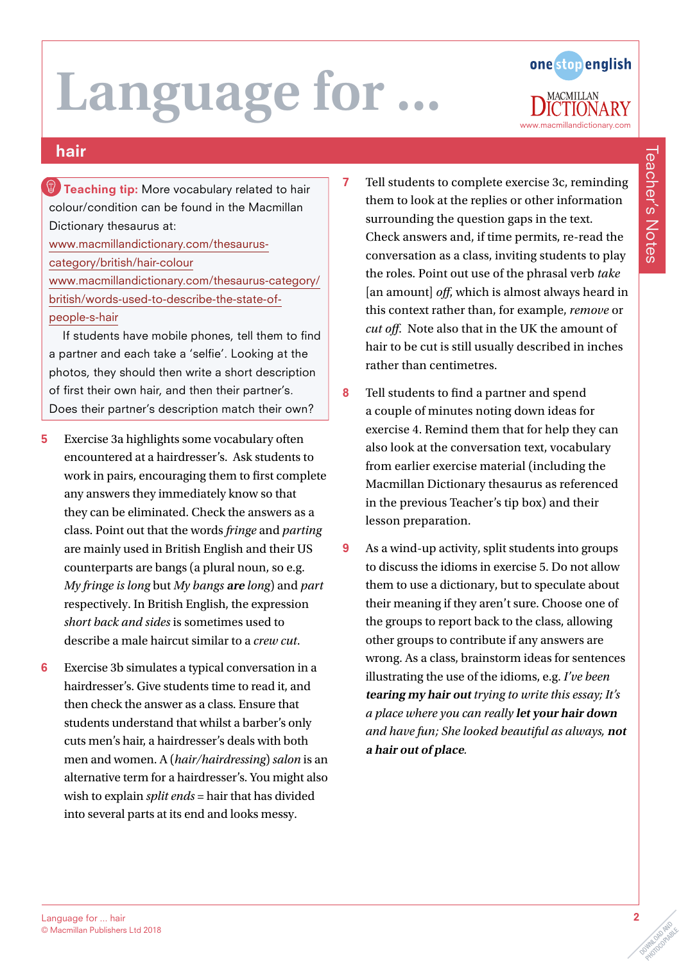# Language for.



Teacher's Notes

**Teacher's Notes** 

## hair

**Teaching tip:** More vocabulary related to hair colour/condition can be found in the Macmillan Dictionary thesaurus at: [www.macmillandictionary.com/thesaurus](http://www.macmillandictionary.com/thesaurus-category/british/hair-colour)[category/british/hair-colour](http://www.macmillandictionary.com/thesaurus-category/british/hair-colour) [www.macmillandictionary.com/thesaurus-category/](http://www.macmillandictionary.com/thesaurus-category/british/words-used-to-describe-the-state-of-people-s-hair) [british/words-used-to-describe-the-state-of](http://www.macmillandictionary.com/thesaurus-category/british/words-used-to-describe-the-state-of-people-s-hair)[people-s-hair](http://www.macmillandictionary.com/thesaurus-category/british/words-used-to-describe-the-state-of-people-s-hair)

If students have mobile phones, tell them to find a partner and each take a 'selfie'. Looking at the photos, they should then write a short description of first their own hair, and then their partner's. Does their partner's description match their own?

- 5 Exercise 3a highlights some vocabulary often encountered at a hairdresser's. Ask students to work in pairs, encouraging them to first complete any answers they immediately know so that they can be eliminated. Check the answers as a class. Point out that the words *fringe* and *parting* are mainly used in British English and their US counterparts are bangs (a plural noun, so e.g. *My fringe is long* but *My bangs* **are** *long*) and *part* respectively. In British English, the expression *short back and sides* is sometimes used to describe a male haircut similar to a *crew cut*.
- 6 Exercise 3b simulates a typical conversation in a hairdresser's. Give students time to read it, and then check the answer as a class. Ensure that students understand that whilst a barber's only cuts men's hair, a hairdresser's deals with both men and women. A (*hair/hairdressing*) *salon* is an alternative term for a hairdresser's. You might also wish to explain *split ends* = hair that has divided into several parts at its end and looks messy.
- 7 Tell students to complete exercise 3c, reminding them to look at the replies or other information surrounding the question gaps in the text. Check answers and, if time permits, re-read the conversation as a class, inviting students to play the roles. Point out use of the phrasal verb *take* [an amount] *off*, which is almost always heard in this context rather than, for example, *remove* or *cut off*. Note also that in the UK the amount of hair to be cut is still usually described in inches rather than centimetres.
- 8 Tell students to find a partner and spend a couple of minutes noting down ideas for exercise 4. Remind them that for help they can also look at the conversation text, vocabulary from earlier exercise material (including the Macmillan Dictionary thesaurus as referenced in the previous Teacher's tip box) and their lesson preparation.
- 9 As a wind-up activity, split students into groups to discuss the idioms in exercise 5. Do not allow them to use a dictionary, but to speculate about their meaning if they aren't sure. Choose one of the groups to report back to the class, allowing other groups to contribute if any answers are wrong. As a class, brainstorm ideas for sentences illustrating the use of the idioms, e.g. *I've been*  **tearing my hair out** *trying to write this essay; It's a place where you can really* **let your hair down** *and have fun; She looked beautiful as always,* **not a hair out of place***.*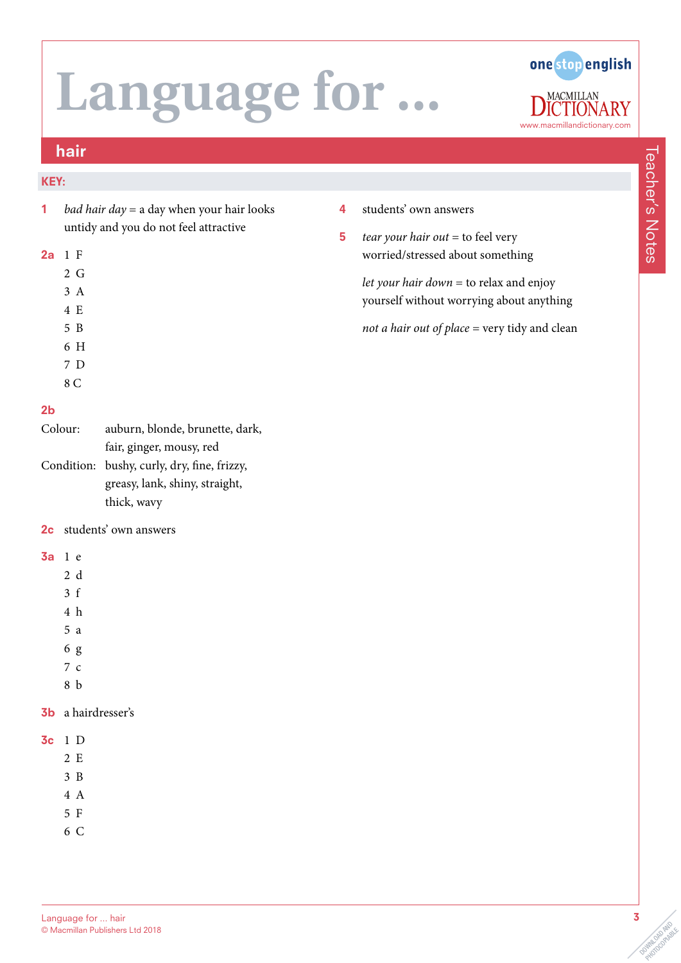

### hair

#### KEY:

1 *bad hair day* = a day when your hair looks untidy and you do not feel attractive

#### 2a 1 F

- 2 G
- 3 A 4 E
- 
- 5 B 6 H
- 7 D
- 8 C

#### 2b

| Colour: | auburn, blonde, brunette, dark,             |  |  |  |
|---------|---------------------------------------------|--|--|--|
|         | fair, ginger, mousy, red                    |  |  |  |
|         | Condition: bushy, curly, dry, fine, frizzy, |  |  |  |
|         | greasy, lank, shiny, straight,              |  |  |  |
|         | thick, wavy                                 |  |  |  |

### 2c students' own answers

#### 3a 1 e

- 2 d
- 3 f
- 4 h
- 5 a
- 6 g
- 7 c
- 8 b

#### 3b a hairdresser's

- 3c 1 D
	- 2 E
	- 3 B 4 A
	- 5 F
	- 6 C
- 4 students' own answers
- 5 *tear your hair out* = to feel very worried/stressed about something

*let your hair down* = to relax and enjoy yourself without worrying about anything

*not a hair out of place* = very tidy and clean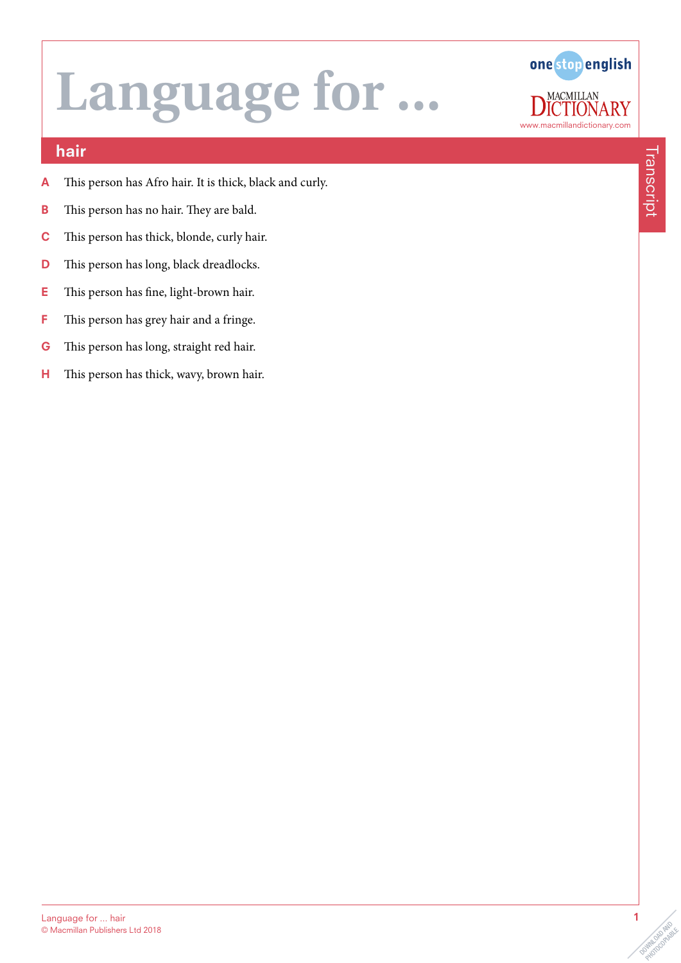

## hair

- A This person has Afro hair. It is thick, black and curly.
- **B** This person has no hair. They are bald.
- C This person has thick, blonde, curly hair.
- D This person has long, black dreadlocks.
- E This person has fine, light-brown hair.
- F This person has grey hair and a fringe.
- G This person has long, straight red hair.
- H This person has thick, wavy, brown hair.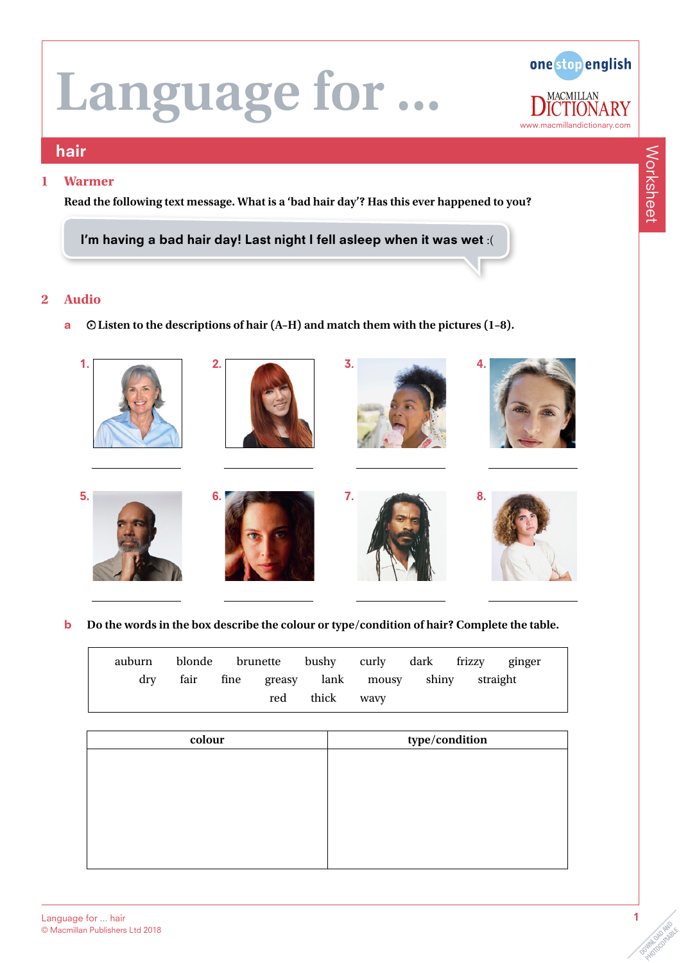

#### hair

#### **1 Warmer**

**Read the following text message. What is a 'bad hair day'? Has this ever happened to you?**

I'm having a bad hair day! Last night I fell asleep when it was wet :(

#### **2 Audio**

a **Listen to the descriptions of hair (A–H) and match them with the pictures (1–8).**



**b** Do the words in the box describe the colour or type/condition of hair? Complete the table.

|  | auburn blonde brunette bushy curly dark frizzy ginger |  |                |  |                                                |  |
|--|-------------------------------------------------------|--|----------------|--|------------------------------------------------|--|
|  |                                                       |  |                |  | dry fair fine greasy lank mousy shiny straight |  |
|  |                                                       |  | red thick wavy |  |                                                |  |

| colour | type/condition |
|--------|----------------|
|        |                |
|        |                |
|        |                |
|        |                |
|        |                |
|        |                |
|        |                |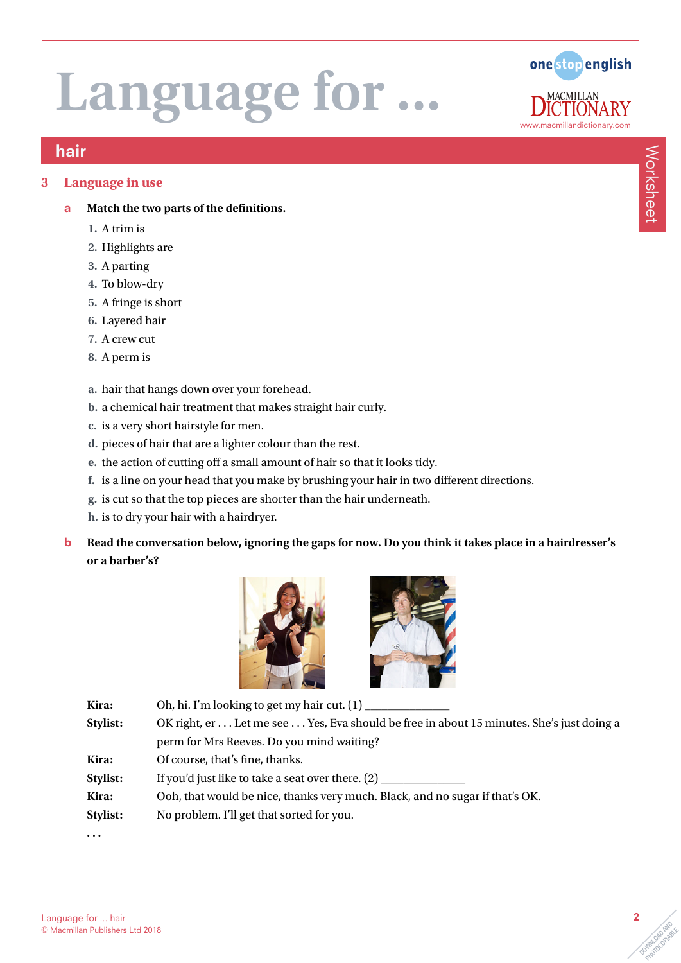

### hair

#### **3 Language in use**

- a **Match the two parts of the definitions.**
	- **1.** A trim is
	- **2.** Highlights are
	- **3.** A parting
	- **4.** To blow-dry
	- **5.** A fringe is short
	- **6.** Layered hair
	- **7.** A crew cut
	- **8.** A perm is
	- **a.** hair that hangs down over your forehead.
	- **b.** a chemical hair treatment that makes straight hair curly.
	- **c.** is a very short hairstyle for men.
	- **d.** pieces of hair that are a lighter colour than the rest.
	- **e.** the action of cutting off a small amount of hair so that it looks tidy.
	- **f.** is a line on your head that you make by brushing your hair in two different directions.
	- **g.** is cut so that the top pieces are shorter than the hair underneath.
	- **h.** is to dry your hair with a hairdryer.
- b **Read the conversation below, ignoring the gaps for now. Do you think it takes place in a hairdresser's or a barber's?**





| Kira:    | Oh, hi. I'm looking to get my hair cut. $(1)$ ___                                         |
|----------|-------------------------------------------------------------------------------------------|
| Stylist: | OK right, er  Let me see  Yes, Eva should be free in about 15 minutes. She's just doing a |
|          | perm for Mrs Reeves. Do you mind waiting?                                                 |
| Kira:    | Of course, that's fine, thanks.                                                           |
| Stylist: | If you'd just like to take a seat over there. $(2)$ ____                                  |
| Kira:    | Ooh, that would be nice, thanks very much. Black, and no sugar if that's OK.              |
| Stylist: | No problem. I'll get that sorted for you.                                                 |
| $\cdots$ |                                                                                           |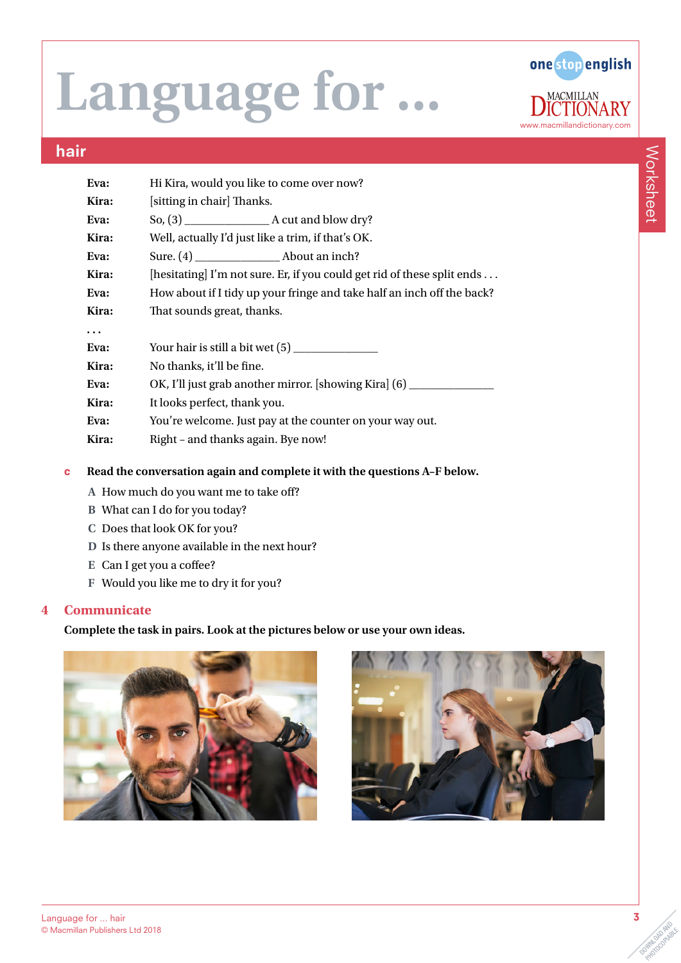

### hair

| Eva:      | Hi Kira, would you like to come over now?                                         |  |  |  |  |  |
|-----------|-----------------------------------------------------------------------------------|--|--|--|--|--|
| Kira:     | [sitting in chair] Thanks.                                                        |  |  |  |  |  |
| Eva:      |                                                                                   |  |  |  |  |  |
| Kira:     | Well, actually I'd just like a trim, if that's OK.                                |  |  |  |  |  |
| Eva:      |                                                                                   |  |  |  |  |  |
| Kira:     | [hesitating] I'm not sure. Er, if you could get rid of these split ends           |  |  |  |  |  |
| Eva:      | How about if I tidy up your fringe and take half an inch off the back?            |  |  |  |  |  |
| Kira:     | That sounds great, thanks.                                                        |  |  |  |  |  |
| $\ddotsc$ |                                                                                   |  |  |  |  |  |
| Eva:      |                                                                                   |  |  |  |  |  |
| Kira:     | No thanks, it'll be fine.                                                         |  |  |  |  |  |
| Eva:      | OK, I'll just grab another mirror. [showing Kira] (6) ___________________________ |  |  |  |  |  |
| Kira:     | It looks perfect, thank you.                                                      |  |  |  |  |  |
| Eva:      | You're welcome. Just pay at the counter on your way out.                          |  |  |  |  |  |
| Kira:     | Right - and thanks again. Bye now!                                                |  |  |  |  |  |
|           |                                                                                   |  |  |  |  |  |

- c **Read the conversation again and complete it with the questions A–F below.**
	- **A** How much do you want me to take off?
	- **B** What can I do for you today?
	- **C** Does that look OK for you?
	- **D** Is there anyone available in the next hour?
	- **E** Can I get you a coffee?
	- **F** Would you like me to dry it for you?

#### **4 Communicate**

#### **Complete the task in pairs. Look at the pictures below or use your own ideas.**